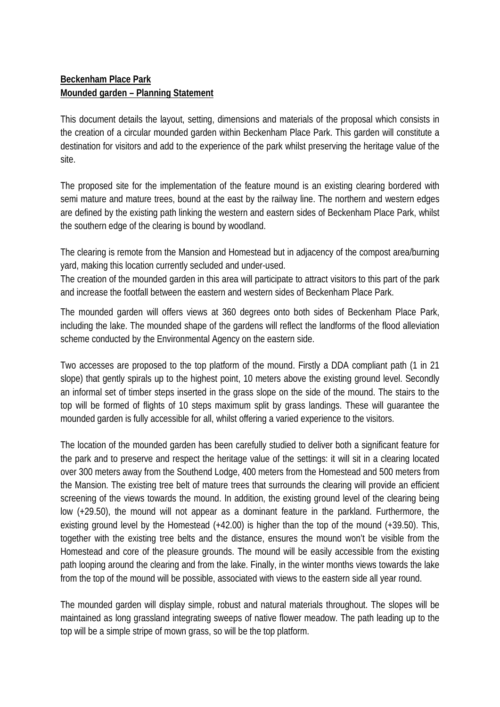## **Beckenham Place Park Mounded garden – Planning Statement**

This document details the layout, setting, dimensions and materials of the proposal which consists in the creation of a circular mounded garden within Beckenham Place Park. This garden will constitute a destination for visitors and add to the experience of the park whilst preserving the heritage value of the site.

The proposed site for the implementation of the feature mound is an existing clearing bordered with semi mature and mature trees, bound at the east by the railway line. The northern and western edges are defined by the existing path linking the western and eastern sides of Beckenham Place Park, whilst the southern edge of the clearing is bound by woodland.

The clearing is remote from the Mansion and Homestead but in adjacency of the compost area/burning yard, making this location currently secluded and under-used.

The creation of the mounded garden in this area will participate to attract visitors to this part of the park and increase the footfall between the eastern and western sides of Beckenham Place Park.

The mounded garden will offers views at 360 degrees onto both sides of Beckenham Place Park, including the lake. The mounded shape of the gardens will reflect the landforms of the flood alleviation scheme conducted by the Environmental Agency on the eastern side.

Two accesses are proposed to the top platform of the mound. Firstly a DDA compliant path (1 in 21 slope) that gently spirals up to the highest point, 10 meters above the existing ground level. Secondly an informal set of timber steps inserted in the grass slope on the side of the mound. The stairs to the top will be formed of flights of 10 steps maximum split by grass landings. These will guarantee the mounded garden is fully accessible for all, whilst offering a varied experience to the visitors.

The location of the mounded garden has been carefully studied to deliver both a significant feature for the park and to preserve and respect the heritage value of the settings: it will sit in a clearing located over 300 meters away from the Southend Lodge, 400 meters from the Homestead and 500 meters from the Mansion. The existing tree belt of mature trees that surrounds the clearing will provide an efficient screening of the views towards the mound. In addition, the existing ground level of the clearing being low (+29.50), the mound will not appear as a dominant feature in the parkland. Furthermore, the existing ground level by the Homestead (+42.00) is higher than the top of the mound (+39.50). This, together with the existing tree belts and the distance, ensures the mound won't be visible from the Homestead and core of the pleasure grounds. The mound will be easily accessible from the existing path looping around the clearing and from the lake. Finally, in the winter months views towards the lake from the top of the mound will be possible, associated with views to the eastern side all year round.

The mounded garden will display simple, robust and natural materials throughout. The slopes will be maintained as long grassland integrating sweeps of native flower meadow. The path leading up to the top will be a simple stripe of mown grass, so will be the top platform.